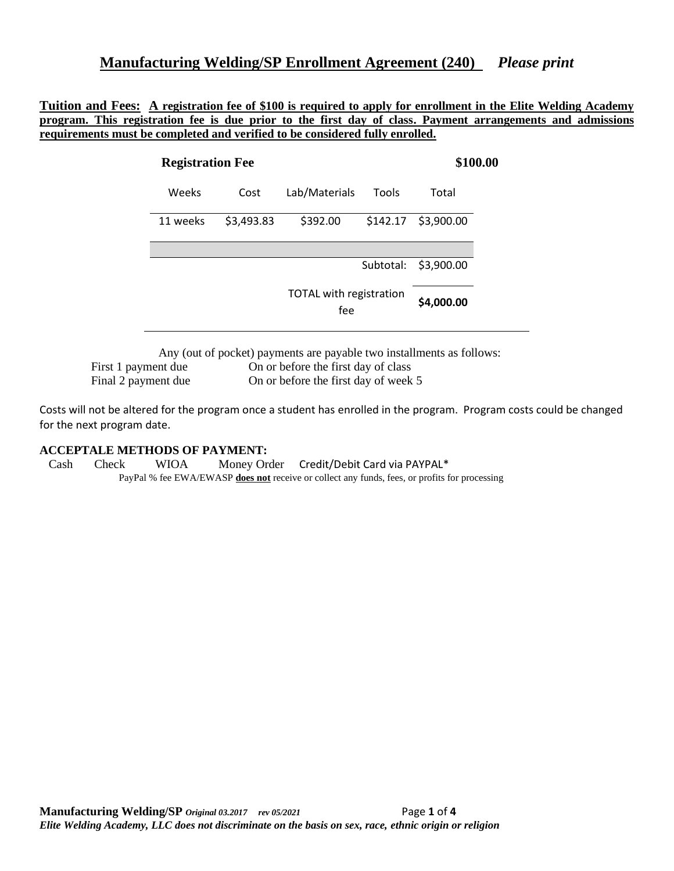#### **Manufacturing Welding/SP Enrollment Agreement (240)** *Please print*

**Tuition and Fees: A registration fee of \$100 is required to apply for enrollment in the Elite Welding Academy program. This registration fee is due prior to the first day of class. Payment arrangements and admissions requirements must be completed and verified to be considered fully enrolled.** 

| <b>Registration Fee</b> |            |                                | \$100.00  |            |
|-------------------------|------------|--------------------------------|-----------|------------|
| Weeks                   | Cost       | Lab/Materials                  | Tools     | Total      |
| 11 weeks                | \$3,493.83 | \$392.00                       | \$142.17  | \$3,900.00 |
|                         |            |                                |           |            |
|                         |            |                                | Subtotal: | \$3,900.00 |
|                         |            | TOTAL with registration<br>fee |           | \$4,000.00 |

Any (out of pocket) payments are payable two installments as follows:

First 1 payment due On or before the first day of class Final 2 payment due On or before the first day of week 5

Costs will not be altered for the program once a student has enrolled in the program. Program costs could be changed for the next program date.

#### **ACCEPTALE METHODS OF PAYMENT:**

 Cash Check WIOA Money Order Credit/Debit Card via PAYPAL\* PayPal % fee EWA/EWASP **does not** receive or collect any funds, fees, or profits for processing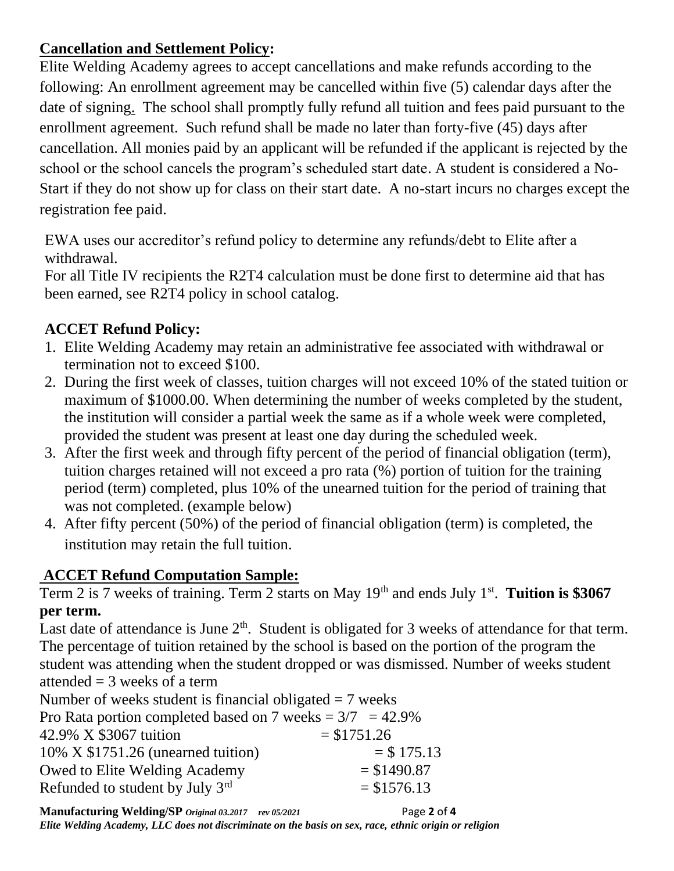# **Cancellation and Settlement Policy:**

Elite Welding Academy agrees to accept cancellations and make refunds according to the following: An enrollment agreement may be cancelled within five (5) calendar days after the date of signing. The school shall promptly fully refund all tuition and fees paid pursuant to the enrollment agreement. Such refund shall be made no later than forty-five (45) days after cancellation. All monies paid by an applicant will be refunded if the applicant is rejected by the school or the school cancels the program's scheduled start date. A student is considered a No-Start if they do not show up for class on their start date. A no-start incurs no charges except the registration fee paid.

EWA uses our accreditor's refund policy to determine any refunds/debt to Elite after a withdrawal.

For all Title IV recipients the R2T4 calculation must be done first to determine aid that has been earned, see R2T4 policy in school catalog.

# **ACCET Refund Policy:**

- 1. Elite Welding Academy may retain an administrative fee associated with withdrawal or termination not to exceed \$100.
- 2. During the first week of classes, tuition charges will not exceed 10% of the stated tuition or maximum of \$1000.00. When determining the number of weeks completed by the student, the institution will consider a partial week the same as if a whole week were completed, provided the student was present at least one day during the scheduled week.
- 3. After the first week and through fifty percent of the period of financial obligation (term), tuition charges retained will not exceed a pro rata (%) portion of tuition for the training period (term) completed, plus 10% of the unearned tuition for the period of training that was not completed. (example below)
- 4. After fifty percent (50%) of the period of financial obligation (term) is completed, the institution may retain the full tuition.

# **ACCET Refund Computation Sample:**

Term 2 is 7 weeks of training. Term 2 starts on May 19<sup>th</sup> and ends July 1<sup>st</sup>. Tuition is \$3067 **per term.**

Last date of attendance is June  $2<sup>th</sup>$ . Student is obligated for 3 weeks of attendance for that term. The percentage of tuition retained by the school is based on the portion of the program the student was attending when the student dropped or was dismissed. Number of weeks student attended  $=$  3 weeks of a term

Number of weeks student is financial obligated  $= 7$  weeks

| Pro Rata portion completed based on 7 weeks = $3/7$ = 42.9% |               |
|-------------------------------------------------------------|---------------|
| 42.9% X \$3067 tuition                                      | $= $1751.26$  |
| $10\%$ X \$1751.26 (unearned tuition)                       | $=$ \$ 175.13 |
| Owed to Elite Welding Academy                               | $=$ \$1490.87 |
| Refunded to student by July 3rd                             | $= $1576.13$  |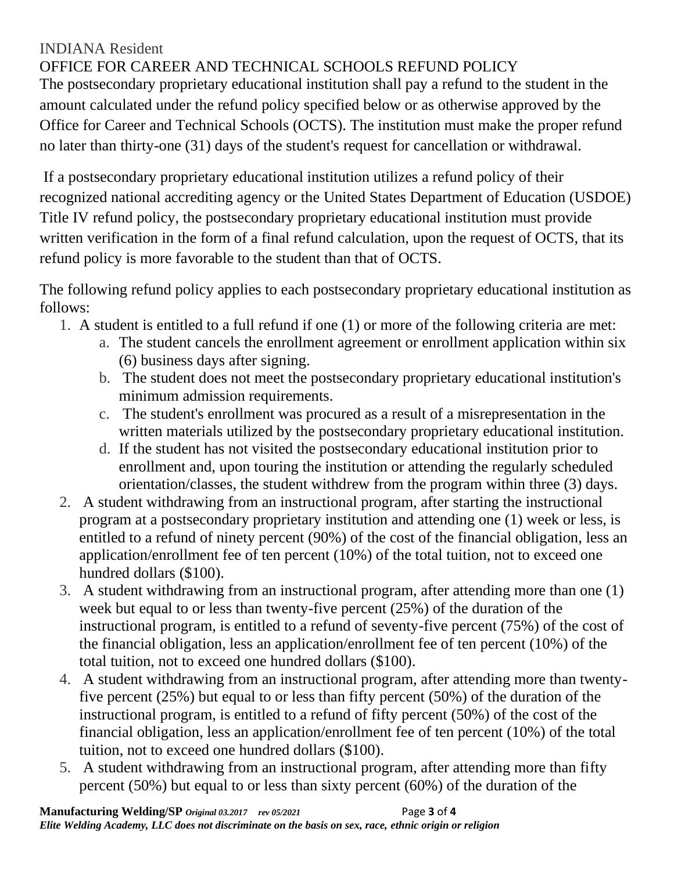## INDIANA Resident

## OFFICE FOR CAREER AND TECHNICAL SCHOOLS REFUND POLICY

The postsecondary proprietary educational institution shall pay a refund to the student in the amount calculated under the refund policy specified below or as otherwise approved by the Office for Career and Technical Schools (OCTS). The institution must make the proper refund no later than thirty-one (31) days of the student's request for cancellation or withdrawal.

If a postsecondary proprietary educational institution utilizes a refund policy of their recognized national accrediting agency or the United States Department of Education (USDOE) Title IV refund policy, the postsecondary proprietary educational institution must provide written verification in the form of a final refund calculation, upon the request of OCTS, that its refund policy is more favorable to the student than that of OCTS.

The following refund policy applies to each postsecondary proprietary educational institution as follows:

- 1. A student is entitled to a full refund if one (1) or more of the following criteria are met:
	- a. The student cancels the enrollment agreement or enrollment application within six (6) business days after signing.
	- b. The student does not meet the postsecondary proprietary educational institution's minimum admission requirements.
	- c. The student's enrollment was procured as a result of a misrepresentation in the written materials utilized by the postsecondary proprietary educational institution.
	- d. If the student has not visited the postsecondary educational institution prior to enrollment and, upon touring the institution or attending the regularly scheduled orientation/classes, the student withdrew from the program within three (3) days.
- 2. A student withdrawing from an instructional program, after starting the instructional program at a postsecondary proprietary institution and attending one (1) week or less, is entitled to a refund of ninety percent (90%) of the cost of the financial obligation, less an application/enrollment fee of ten percent (10%) of the total tuition, not to exceed one hundred dollars (\$100).
- 3. A student withdrawing from an instructional program, after attending more than one (1) week but equal to or less than twenty-five percent (25%) of the duration of the instructional program, is entitled to a refund of seventy-five percent (75%) of the cost of the financial obligation, less an application/enrollment fee of ten percent (10%) of the total tuition, not to exceed one hundred dollars (\$100).
- 4. A student withdrawing from an instructional program, after attending more than twentyfive percent (25%) but equal to or less than fifty percent (50%) of the duration of the instructional program, is entitled to a refund of fifty percent (50%) of the cost of the financial obligation, less an application/enrollment fee of ten percent (10%) of the total tuition, not to exceed one hundred dollars (\$100).
- 5. A student withdrawing from an instructional program, after attending more than fifty percent (50%) but equal to or less than sixty percent (60%) of the duration of the